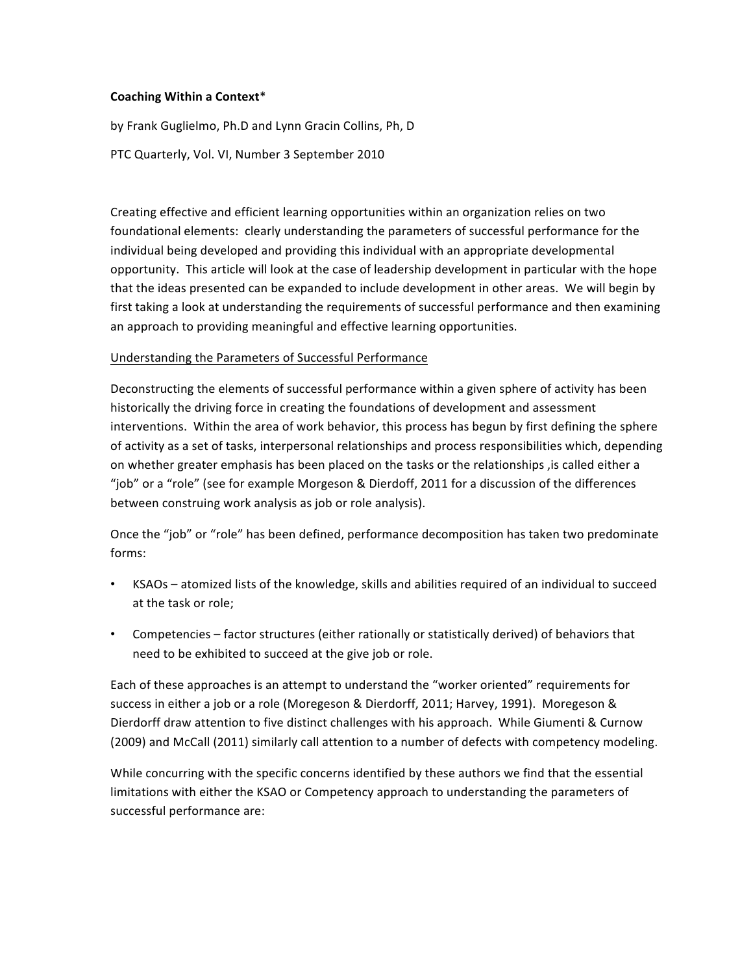### **Coaching Within a Context**\*

by Frank Guglielmo, Ph.D and Lynn Gracin Collins, Ph, D

PTC Quarterly, Vol. VI, Number 3 September 2010

Creating effective and efficient learning opportunities within an organization relies on two foundational elements: clearly understanding the parameters of successful performance for the individual being developed and providing this individual with an appropriate developmental opportunity. This article will look at the case of leadership development in particular with the hope that the ideas presented can be expanded to include development in other areas. We will begin by first taking a look at understanding the requirements of successful performance and then examining an approach to providing meaningful and effective learning opportunities.

### Understanding the Parameters of Successful Performance

Deconstructing the elements of successful performance within a given sphere of activity has been historically the driving force in creating the foundations of development and assessment interventions. Within the area of work behavior, this process has begun by first defining the sphere of activity as a set of tasks, interpersonal relationships and process responsibilities which, depending on whether greater emphasis has been placed on the tasks or the relationships , is called either a "job" or a "role" (see for example Morgeson & Dierdoff, 2011 for a discussion of the differences between construing work analysis as job or role analysis).

Once the "job" or "role" has been defined, performance decomposition has taken two predominate forms:

- KSAOs atomized lists of the knowledge, skills and abilities required of an individual to succeed at the task or role;
- Competencies factor structures (either rationally or statistically derived) of behaviors that need to be exhibited to succeed at the give job or role.

Each of these approaches is an attempt to understand the "worker oriented" requirements for success in either a job or a role (Moregeson & Dierdorff, 2011; Harvey, 1991). Moregeson & Dierdorff draw attention to five distinct challenges with his approach. While Giumenti & Curnow (2009) and McCall (2011) similarly call attention to a number of defects with competency modeling.

While concurring with the specific concerns identified by these authors we find that the essential limitations with either the KSAO or Competency approach to understanding the parameters of successful performance are: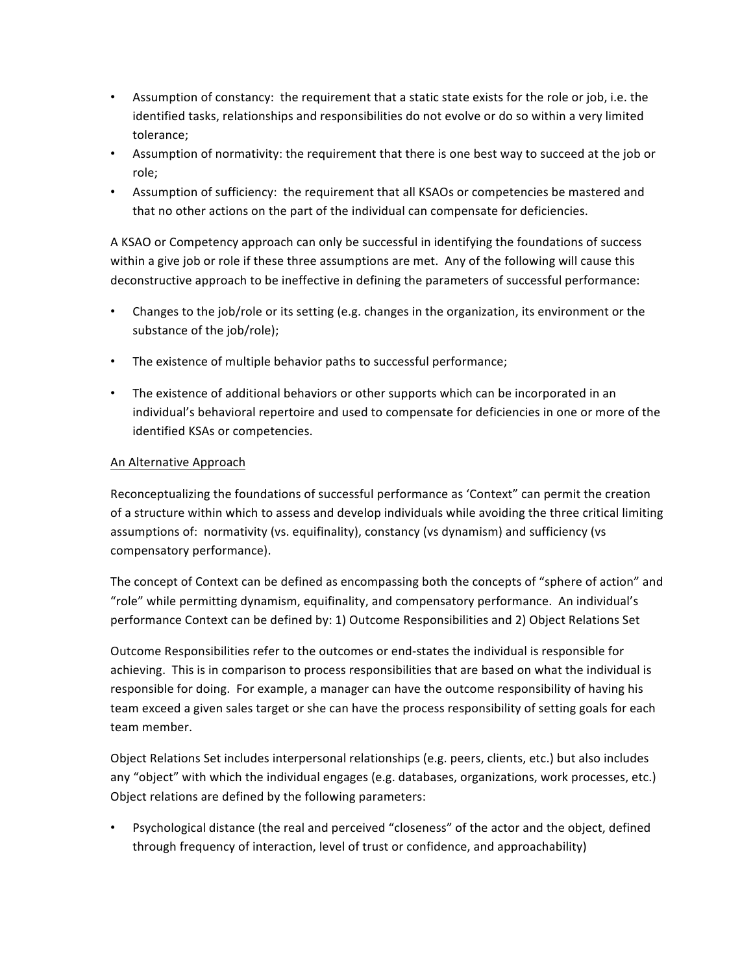- Assumption of constancy: the requirement that a static state exists for the role or job, i.e. the identified tasks, relationships and responsibilities do not evolve or do so within a very limited tolerance;
- Assumption of normativity: the requirement that there is one best way to succeed at the job or role;
- Assumption of sufficiency: the requirement that all KSAOs or competencies be mastered and that no other actions on the part of the individual can compensate for deficiencies.

A KSAO or Competency approach can only be successful in identifying the foundations of success within a give job or role if these three assumptions are met. Any of the following will cause this deconstructive approach to be ineffective in defining the parameters of successful performance:

- Changes to the job/role or its setting (e.g. changes in the organization, its environment or the substance of the job/role);
- The existence of multiple behavior paths to successful performance;
- The existence of additional behaviors or other supports which can be incorporated in an individual's behavioral repertoire and used to compensate for deficiencies in one or more of the identified KSAs or competencies.

## An Alternative Approach

Reconceptualizing the foundations of successful performance as 'Context" can permit the creation of a structure within which to assess and develop individuals while avoiding the three critical limiting assumptions of: normativity (vs. equifinality), constancy (vs dynamism) and sufficiency (vs compensatory performance).

The concept of Context can be defined as encompassing both the concepts of "sphere of action" and "role" while permitting dynamism, equifinality, and compensatory performance. An individual's performance Context can be defined by: 1) Outcome Responsibilities and 2) Object Relations Set

Outcome Responsibilities refer to the outcomes or end-states the individual is responsible for achieving. This is in comparison to process responsibilities that are based on what the individual is responsible for doing. For example, a manager can have the outcome responsibility of having his team exceed a given sales target or she can have the process responsibility of setting goals for each team member.

Object Relations Set includes interpersonal relationships (e.g. peers, clients, etc.) but also includes any "object" with which the individual engages (e.g. databases, organizations, work processes, etc.) Object relations are defined by the following parameters:

Psychological distance (the real and perceived "closeness" of the actor and the object, defined through frequency of interaction, level of trust or confidence, and approachability)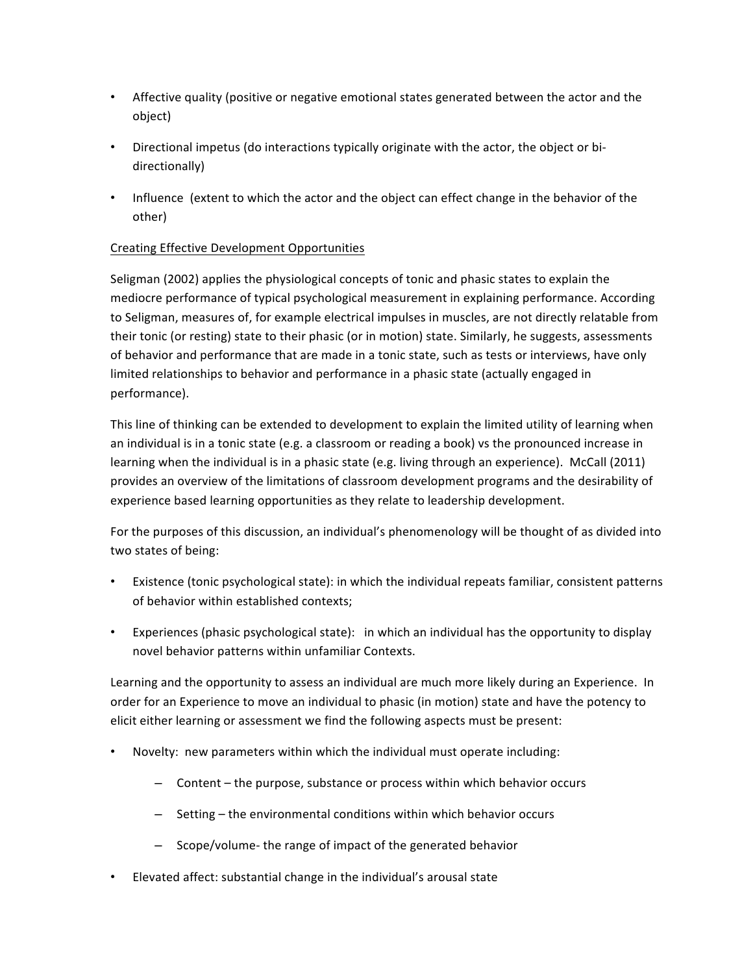- Affective quality (positive or negative emotional states generated between the actor and the object)
- Directional impetus (do interactions typically originate with the actor, the object or bidirectionally)
- Influence (extent to which the actor and the object can effect change in the behavior of the other)

# Creating Effective Development Opportunities

Seligman (2002) applies the physiological concepts of tonic and phasic states to explain the mediocre performance of typical psychological measurement in explaining performance. According to Seligman, measures of, for example electrical impulses in muscles, are not directly relatable from their tonic (or resting) state to their phasic (or in motion) state. Similarly, he suggests, assessments of behavior and performance that are made in a tonic state, such as tests or interviews, have only limited relationships to behavior and performance in a phasic state (actually engaged in performance).

This line of thinking can be extended to development to explain the limited utility of learning when an individual is in a tonic state (e.g. a classroom or reading a book) vs the pronounced increase in learning when the individual is in a phasic state (e.g. living through an experience). McCall (2011) provides an overview of the limitations of classroom development programs and the desirability of experience based learning opportunities as they relate to leadership development.

For the purposes of this discussion, an individual's phenomenology will be thought of as divided into two states of being:

- Existence (tonic psychological state): in which the individual repeats familiar, consistent patterns of behavior within established contexts;
- Experiences (phasic psychological state): in which an individual has the opportunity to display novel behavior patterns within unfamiliar Contexts.

Learning and the opportunity to assess an individual are much more likely during an Experience. In order for an Experience to move an individual to phasic (in motion) state and have the potency to elicit either learning or assessment we find the following aspects must be present:

- Novelty: new parameters within which the individual must operate including:
	- Content the purpose, substance or process within which behavior occurs
	- $-$  Setting the environmental conditions within which behavior occurs
	- $-$  Scope/volume- the range of impact of the generated behavior
- Elevated affect: substantial change in the individual's arousal state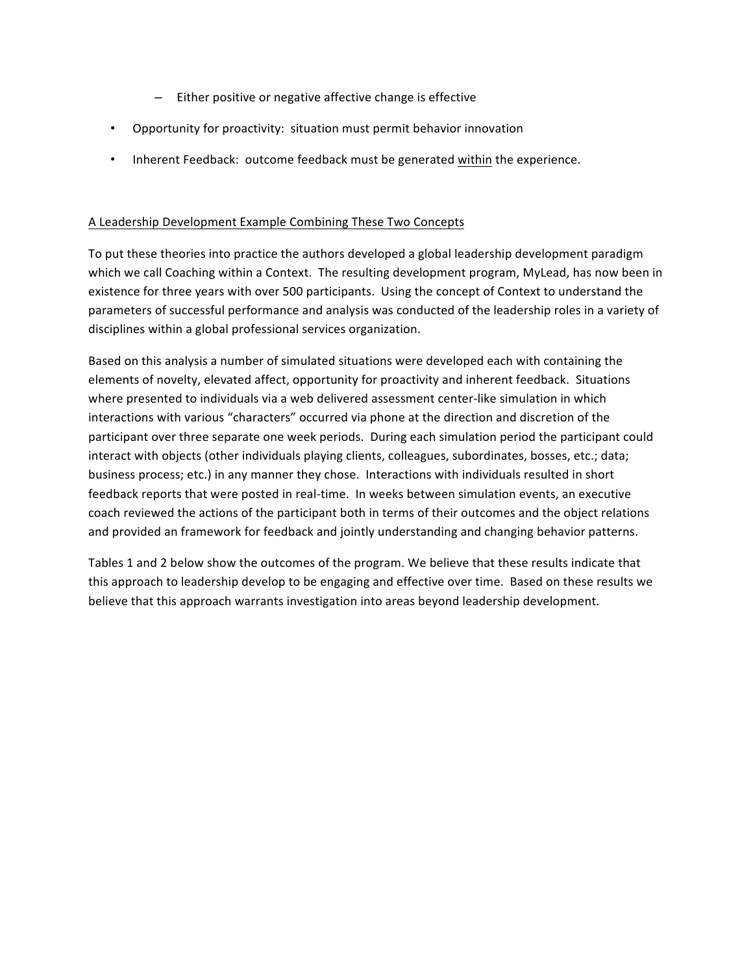- $-$  Either positive or negative affective change is effective
- Opportunity for proactivity: situation must permit behavior innovation
- Inherent Feedback: outcome feedback must be generated within the experience.

### A Leadership Development Example Combining These Two Concepts

To put these theories into practice the authors developed a global leadership development paradigm which we call Coaching within a Context. The resulting development program, MyLead, has now been in existence for three years with over 500 participants. Using the concept of Context to understand the parameters of successful performance and analysis was conducted of the leadership roles in a variety of disciplines within a global professional services organization.

Based on this analysis a number of simulated situations were developed each with containing the elements of novelty, elevated affect, opportunity for proactivity and inherent feedback. Situations where presented to individuals via a web delivered assessment center-like simulation in which interactions with various "characters" occurred via phone at the direction and discretion of the participant over three separate one week periods. During each simulation period the participant could interact with objects (other individuals playing clients, colleagues, subordinates, bosses, etc.; data; business process; etc.) in any manner they chose. Interactions with individuals resulted in short feedback reports that were posted in real-time. In weeks between simulation events, an executive coach reviewed the actions of the participant both in terms of their outcomes and the object relations and provided an framework for feedback and jointly understanding and changing behavior patterns.

Tables 1 and 2 below show the outcomes of the program. We believe that these results indicate that this approach to leadership develop to be engaging and effective over time. Based on these results we believe that this approach warrants investigation into areas beyond leadership development.